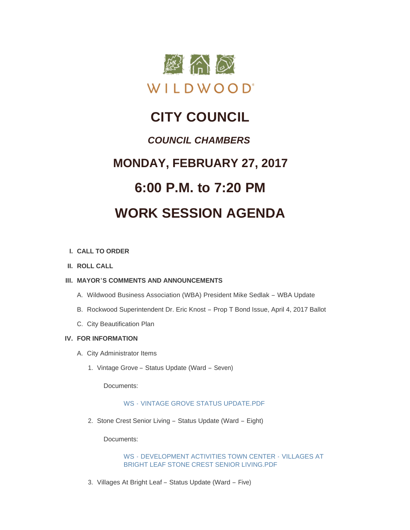

## **CITY COUNCIL**

### *COUNCIL CHAMBERS*

## **MONDAY, FEBRUARY 27, 2017**

# **6:00 P.M. to 7:20 PM**

## **WORK SESSION AGENDA**

#### **CALL TO ORDER I.**

**ROLL CALL II.**

#### **MAYOR'S COMMENTS AND ANNOUNCEMENTS III.**

- A. Wildwood Business Association (WBA) President Mike Sedlak WBA Update
- B. Rockwood Superintendent Dr. Eric Knost Prop T Bond Issue, April 4, 2017 Ballot
- C. City Beautification Plan

#### **FOR INFORMATION IV.**

- A. City Administrator Items
	- 1. Vintage Grove Status Update (Ward Seven)

Documents:

#### WS - VINTAGE GROVE STATUS UPDATE PDF

2. Stone Crest Senior Living - Status Update (Ward - Eight)

Documents:

WS - DEVELOPMENT ACTIVITIES TOWN CENTER - VILLAGES AT [BRIGHT LEAF STONE CREST SENIOR LIVING.PDF](http://www.cityofwildwood.com/AgendaCenter/ViewFile/Item/9935?fileID=14381)

3. Villages At Bright Leaf - Status Update (Ward - Five)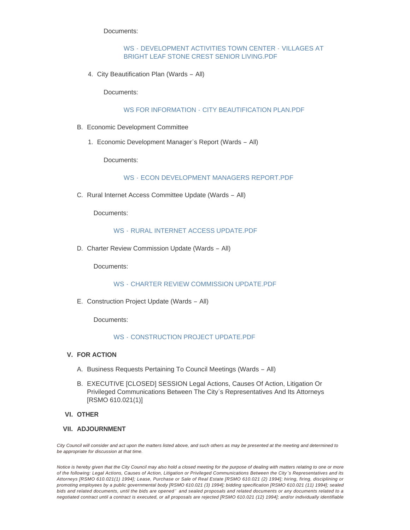Documents:

#### WS - DEVELOPMENT ACTIVITIES TOWN CENTER - VILLAGES AT [BRIGHT LEAF STONE CREST SENIOR LIVING.PDF](http://www.cityofwildwood.com/AgendaCenter/ViewFile/Item/9936?fileID=14382)

4. City Beautification Plan (Wards - All)

Documents:

#### WS FOR INFORMATION - [CITY BEAUTIFICATION PLAN.PDF](http://www.cityofwildwood.com/AgendaCenter/ViewFile/Item/9937?fileID=14383)

- Economic Development Committee B.
	- 1. Economic Development Manager's Report (Wards All)

Documents:

WS - FCON DEVELOPMENT MANAGERS REPORT PDF

C. Rural Internet Access Committee Update (Wards - All)

Documents:

#### WS - [RURAL INTERNET ACCESS UPDATE.PDF](http://www.cityofwildwood.com/AgendaCenter/ViewFile/Item/9940?fileID=14385)

D. Charter Review Commission Update (Wards - All)

Documents:

WS - [CHARTER REVIEW COMMISSION UPDATE.PDF](http://www.cityofwildwood.com/AgendaCenter/ViewFile/Item/9941?fileID=14386)

E. Construction Project Update (Wards - All)

Documents:

#### WS - [CONSTRUCTION PROJECT UPDATE.PDF](http://www.cityofwildwood.com/AgendaCenter/ViewFile/Item/9942?fileID=14387)

- **FOR ACTION V.**
	- A. Business Requests Pertaining To Council Meetings (Wards All)
	- B. EXECUTIVE [CLOSED] SESSION Legal Actions, Causes Of Action, Litigation Or Privileged Communications Between The City's Representatives And Its Attorneys [RSMO 610.021(1)]

#### **OTHER VI.**

#### **ADJOURNMENT VII.**

*City Council will consider and act upon the matters listed above, and such others as may be presented at the meeting and determined to be appropriate for discussion at that time.*

*Notice is hereby given that the City Council may also hold a closed meeting for the purpose of dealing with matters relating to one or more of the following: Legal Actions, Causes of Action, Litigation or Privileged Communications Between the City 's Representatives and its Attorneys [RSMO 610.021(1) 1994]; Lease, Purchase or Sale of Real Estate [RSMO 610.021 (2) 1994]; hiring, firing, disciplining or promoting employees by a public governmental body [RSMO 610.021 (3) 1994]; bidding specification [RSMO 610.021 (11) 1994]; sealed bids and related documents, until the bids are opened ' and sealed proposals and related documents or any documents related to a negotiated contract until a contract is executed, or all proposals are rejected [RSMO 610.021 (12) 1994]; and/or individually identifiable*